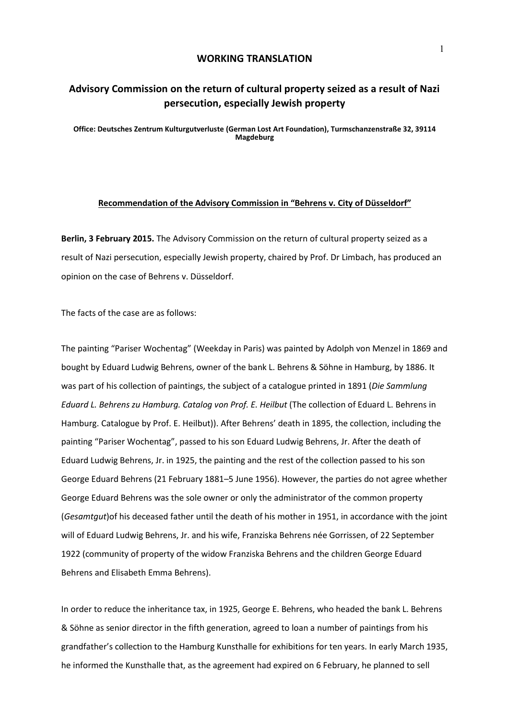## **WORKING TRANSLATION**

## **Advisory Commission on the return of cultural property seized as a result of Nazi persecution, especially Jewish property**

**Office: Deutsches Zentrum Kulturgutverluste (German Lost Art Foundation), Turmschanzenstraße 32, 39114 Magdeburg**

## **Recommendation of the Advisory Commission in "Behrens v. City of Düsseldorf"**

**Berlin, 3 February 2015.** The Advisory Commission on the return of cultural property seized as a result of Nazi persecution, especially Jewish property, chaired by Prof. Dr Limbach, has produced an opinion on the case of Behrens v. Düsseldorf.

The facts of the case are as follows:

The painting "Pariser Wochentag" (Weekday in Paris) was painted by Adolph von Menzel in 1869 and bought by Eduard Ludwig Behrens, owner of the bank L. Behrens & Söhne in Hamburg, by 1886. It was part of his collection of paintings, the subject of a catalogue printed in 1891 (*Die Sammlung Eduard L. Behrens zu Hamburg. Catalog von Prof. E. Heilbut* (The collection of Eduard L. Behrens in Hamburg. Catalogue by Prof. E. Heilbut)). After Behrens' death in 1895, the collection, including the painting "Pariser Wochentag", passed to his son Eduard Ludwig Behrens, Jr. After the death of Eduard Ludwig Behrens, Jr. in 1925, the painting and the rest of the collection passed to his son George Eduard Behrens (21 February 1881–5 June 1956). However, the parties do not agree whether George Eduard Behrens was the sole owner or only the administrator of the common property (*Gesamtgut*)of his deceased father until the death of his mother in 1951, in accordance with the joint will of Eduard Ludwig Behrens, Jr. and his wife, Franziska Behrens née Gorrissen, of 22 September 1922 (community of property of the widow Franziska Behrens and the children George Eduard Behrens and Elisabeth Emma Behrens).

In order to reduce the inheritance tax, in 1925, George E. Behrens, who headed the bank L. Behrens & Söhne as senior director in the fifth generation, agreed to loan a number of paintings from his grandfather's collection to the Hamburg Kunsthalle for exhibitions for ten years. In early March 1935, he informed the Kunsthalle that, as the agreement had expired on 6 February, he planned to sell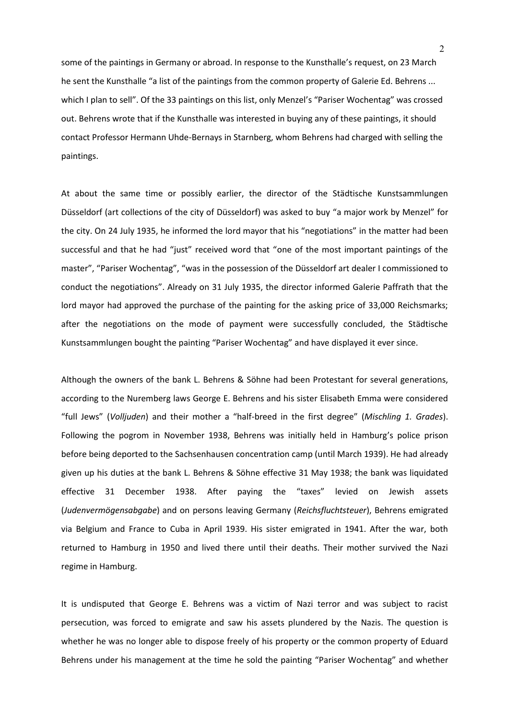some of the paintings in Germany or abroad. In response to the Kunsthalle's request, on 23 March he sent the Kunsthalle "a list of the paintings from the common property of Galerie Ed. Behrens ... which I plan to sell". Of the 33 paintings on this list, only Menzel's "Pariser Wochentag" was crossed out. Behrens wrote that if the Kunsthalle was interested in buying any of these paintings, it should contact Professor Hermann Uhde-Bernays in Starnberg, whom Behrens had charged with selling the paintings.

At about the same time or possibly earlier, the director of the Städtische Kunstsammlungen Düsseldorf (art collections of the city of Düsseldorf) was asked to buy "a major work by Menzel" for the city. On 24 July 1935, he informed the lord mayor that his "negotiations" in the matter had been successful and that he had "just" received word that "one of the most important paintings of the master", "Pariser Wochentag", "was in the possession of the Düsseldorf art dealer I commissioned to conduct the negotiations". Already on 31 July 1935, the director informed Galerie Paffrath that the lord mayor had approved the purchase of the painting for the asking price of 33,000 Reichsmarks; after the negotiations on the mode of payment were successfully concluded, the Städtische Kunstsammlungen bought the painting "Pariser Wochentag" and have displayed it ever since.

Although the owners of the bank L. Behrens & Söhne had been Protestant for several generations, according to the Nuremberg laws George E. Behrens and his sister Elisabeth Emma were considered "full Jews" (*Volljuden*) and their mother a "half-breed in the first degree" (*Mischling 1. Grades*). Following the pogrom in November 1938, Behrens was initially held in Hamburg's police prison before being deported to the Sachsenhausen concentration camp (until March 1939). He had already given up his duties at the bank L. Behrens & Söhne effective 31 May 1938; the bank was liquidated effective 31 December 1938. After paying the "taxes" levied on Jewish assets (*Judenvermögensabgabe*) and on persons leaving Germany (*Reichsfluchtsteuer*), Behrens emigrated via Belgium and France to Cuba in April 1939. His sister emigrated in 1941. After the war, both returned to Hamburg in 1950 and lived there until their deaths. Their mother survived the Nazi regime in Hamburg.

It is undisputed that George E. Behrens was a victim of Nazi terror and was subject to racist persecution, was forced to emigrate and saw his assets plundered by the Nazis. The question is whether he was no longer able to dispose freely of his property or the common property of Eduard Behrens under his management at the time he sold the painting "Pariser Wochentag" and whether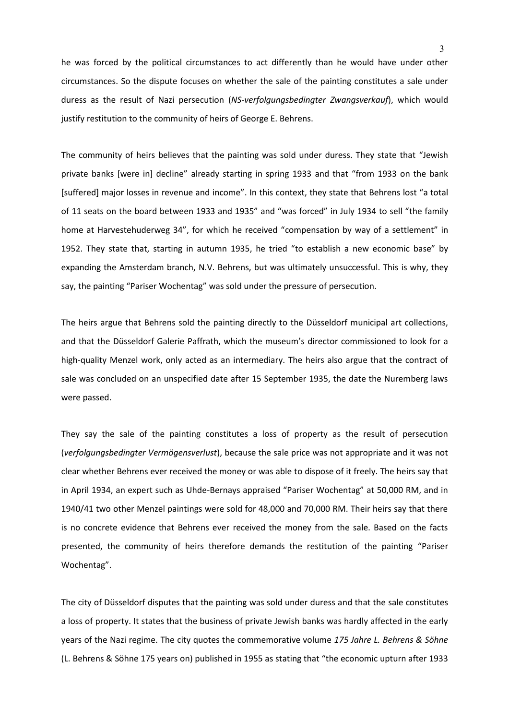he was forced by the political circumstances to act differently than he would have under other circumstances. So the dispute focuses on whether the sale of the painting constitutes a sale under duress as the result of Nazi persecution (*NS-verfolgungsbedingter Zwangsverkauf*), which would justify restitution to the community of heirs of George E. Behrens.

The community of heirs believes that the painting was sold under duress. They state that "Jewish private banks [were in] decline" already starting in spring 1933 and that "from 1933 on the bank [suffered] major losses in revenue and income". In this context, they state that Behrens lost "a total of 11 seats on the board between 1933 and 1935" and "was forced" in July 1934 to sell "the family home at Harvestehuderweg 34", for which he received "compensation by way of a settlement" in 1952. They state that, starting in autumn 1935, he tried "to establish a new economic base" by expanding the Amsterdam branch, N.V. Behrens, but was ultimately unsuccessful. This is why, they say, the painting "Pariser Wochentag" was sold under the pressure of persecution.

The heirs argue that Behrens sold the painting directly to the Düsseldorf municipal art collections, and that the Düsseldorf Galerie Paffrath, which the museum's director commissioned to look for a high-quality Menzel work, only acted as an intermediary. The heirs also argue that the contract of sale was concluded on an unspecified date after 15 September 1935, the date the Nuremberg laws were passed.

They say the sale of the painting constitutes a loss of property as the result of persecution (*verfolgungsbedingter Vermögensverlust*), because the sale price was not appropriate and it was not clear whether Behrens ever received the money or was able to dispose of it freely. The heirs say that in April 1934, an expert such as Uhde-Bernays appraised "Pariser Wochentag" at 50,000 RM, and in 1940/41 two other Menzel paintings were sold for 48,000 and 70,000 RM. Their heirs say that there is no concrete evidence that Behrens ever received the money from the sale. Based on the facts presented, the community of heirs therefore demands the restitution of the painting "Pariser Wochentag".

The city of Düsseldorf disputes that the painting was sold under duress and that the sale constitutes a loss of property. It states that the business of private Jewish banks was hardly affected in the early years of the Nazi regime. The city quotes the commemorative volume *175 Jahre L. Behrens & Söhne* (L. Behrens & Söhne 175 years on) published in 1955 as stating that "the economic upturn after 1933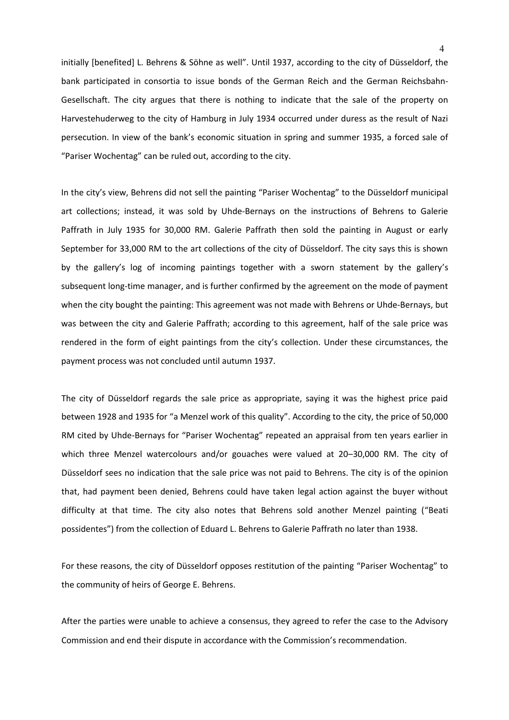initially [benefited] L. Behrens & Söhne as well". Until 1937, according to the city of Düsseldorf, the bank participated in consortia to issue bonds of the German Reich and the German Reichsbahn-Gesellschaft. The city argues that there is nothing to indicate that the sale of the property on Harvestehuderweg to the city of Hamburg in July 1934 occurred under duress as the result of Nazi persecution. In view of the bank's economic situation in spring and summer 1935, a forced sale of "Pariser Wochentag" can be ruled out, according to the city.

In the city's view, Behrens did not sell the painting "Pariser Wochentag" to the Düsseldorf municipal art collections; instead, it was sold by Uhde-Bernays on the instructions of Behrens to Galerie Paffrath in July 1935 for 30,000 RM. Galerie Paffrath then sold the painting in August or early September for 33,000 RM to the art collections of the city of Düsseldorf. The city says this is shown by the gallery's log of incoming paintings together with a sworn statement by the gallery's subsequent long-time manager, and is further confirmed by the agreement on the mode of payment when the city bought the painting: This agreement was not made with Behrens or Uhde-Bernays, but was between the city and Galerie Paffrath; according to this agreement, half of the sale price was rendered in the form of eight paintings from the city's collection. Under these circumstances, the payment process was not concluded until autumn 1937.

The city of Düsseldorf regards the sale price as appropriate, saying it was the highest price paid between 1928 and 1935 for "a Menzel work of this quality". According to the city, the price of 50,000 RM cited by Uhde-Bernays for "Pariser Wochentag" repeated an appraisal from ten years earlier in which three Menzel watercolours and/or gouaches were valued at 20–30,000 RM. The city of Düsseldorf sees no indication that the sale price was not paid to Behrens. The city is of the opinion that, had payment been denied, Behrens could have taken legal action against the buyer without difficulty at that time. The city also notes that Behrens sold another Menzel painting ("Beati possidentes") from the collection of Eduard L. Behrens to Galerie Paffrath no later than 1938.

For these reasons, the city of Düsseldorf opposes restitution of the painting "Pariser Wochentag" to the community of heirs of George E. Behrens.

After the parties were unable to achieve a consensus, they agreed to refer the case to the Advisory Commission and end their dispute in accordance with the Commission's recommendation.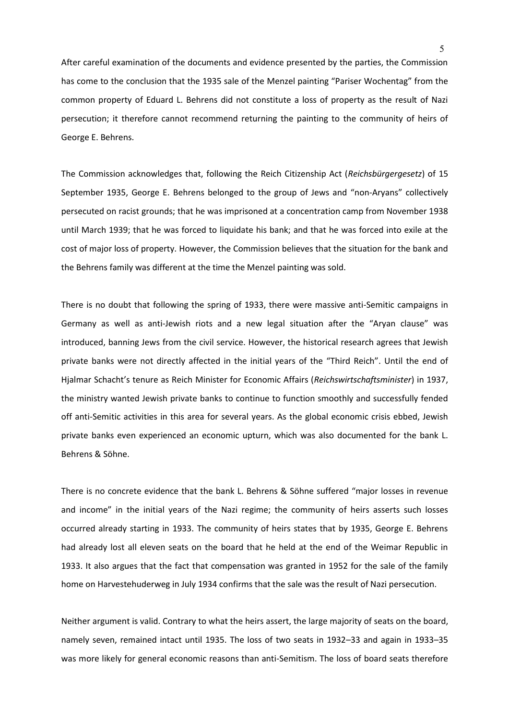After careful examination of the documents and evidence presented by the parties, the Commission has come to the conclusion that the 1935 sale of the Menzel painting "Pariser Wochentag" from the common property of Eduard L. Behrens did not constitute a loss of property as the result of Nazi persecution; it therefore cannot recommend returning the painting to the community of heirs of George E. Behrens.

The Commission acknowledges that, following the Reich Citizenship Act (*Reichsbürgergesetz*) of 15 September 1935, George E. Behrens belonged to the group of Jews and "non-Aryans" collectively persecuted on racist grounds; that he was imprisoned at a concentration camp from November 1938 until March 1939; that he was forced to liquidate his bank; and that he was forced into exile at the cost of major loss of property. However, the Commission believes that the situation for the bank and the Behrens family was different at the time the Menzel painting was sold.

There is no doubt that following the spring of 1933, there were massive anti-Semitic campaigns in Germany as well as anti-Jewish riots and a new legal situation after the "Aryan clause" was introduced, banning Jews from the civil service. However, the historical research agrees that Jewish private banks were not directly affected in the initial years of the "Third Reich". Until the end of Hjalmar Schacht's tenure as Reich Minister for Economic Affairs (*Reichswirtschaftsminister*) in 1937, the ministry wanted Jewish private banks to continue to function smoothly and successfully fended off anti-Semitic activities in this area for several years. As the global economic crisis ebbed, Jewish private banks even experienced an economic upturn, which was also documented for the bank L. Behrens & Söhne.

There is no concrete evidence that the bank L. Behrens & Söhne suffered "major losses in revenue and income" in the initial years of the Nazi regime; the community of heirs asserts such losses occurred already starting in 1933. The community of heirs states that by 1935, George E. Behrens had already lost all eleven seats on the board that he held at the end of the Weimar Republic in 1933. It also argues that the fact that compensation was granted in 1952 for the sale of the family home on Harvestehuderweg in July 1934 confirms that the sale was the result of Nazi persecution.

Neither argument is valid. Contrary to what the heirs assert, the large majority of seats on the board, namely seven, remained intact until 1935. The loss of two seats in 1932–33 and again in 1933–35 was more likely for general economic reasons than anti-Semitism. The loss of board seats therefore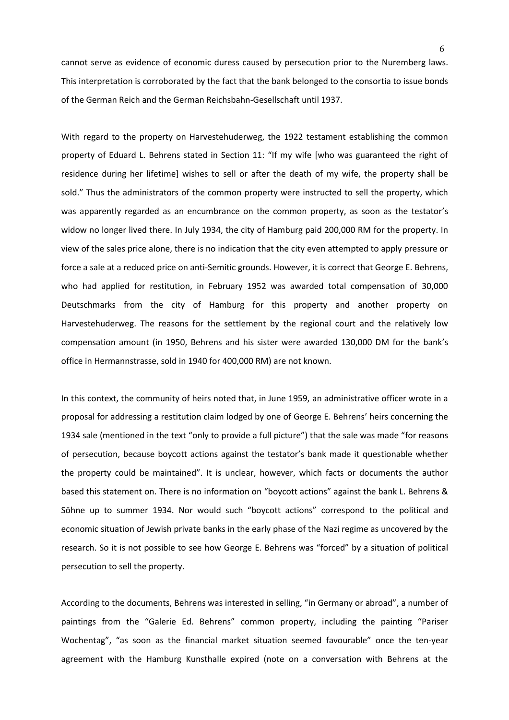cannot serve as evidence of economic duress caused by persecution prior to the Nuremberg laws. This interpretation is corroborated by the fact that the bank belonged to the consortia to issue bonds of the German Reich and the German Reichsbahn-Gesellschaft until 1937.

With regard to the property on Harvestehuderweg, the 1922 testament establishing the common property of Eduard L. Behrens stated in Section 11: "If my wife [who was guaranteed the right of residence during her lifetime] wishes to sell or after the death of my wife, the property shall be sold." Thus the administrators of the common property were instructed to sell the property, which was apparently regarded as an encumbrance on the common property, as soon as the testator's widow no longer lived there. In July 1934, the city of Hamburg paid 200,000 RM for the property. In view of the sales price alone, there is no indication that the city even attempted to apply pressure or force a sale at a reduced price on anti-Semitic grounds. However, it is correct that George E. Behrens, who had applied for restitution, in February 1952 was awarded total compensation of 30,000 Deutschmarks from the city of Hamburg for this property and another property on Harvestehuderweg. The reasons for the settlement by the regional court and the relatively low compensation amount (in 1950, Behrens and his sister were awarded 130,000 DM for the bank's office in Hermannstrasse, sold in 1940 for 400,000 RM) are not known.

In this context, the community of heirs noted that, in June 1959, an administrative officer wrote in a proposal for addressing a restitution claim lodged by one of George E. Behrens' heirs concerning the 1934 sale (mentioned in the text "only to provide a full picture") that the sale was made "for reasons of persecution, because boycott actions against the testator's bank made it questionable whether the property could be maintained". It is unclear, however, which facts or documents the author based this statement on. There is no information on "boycott actions" against the bank L. Behrens & Söhne up to summer 1934. Nor would such "boycott actions" correspond to the political and economic situation of Jewish private banks in the early phase of the Nazi regime as uncovered by the research. So it is not possible to see how George E. Behrens was "forced" by a situation of political persecution to sell the property.

According to the documents, Behrens was interested in selling, "in Germany or abroad", a number of paintings from the "Galerie Ed. Behrens" common property, including the painting "Pariser Wochentag", "as soon as the financial market situation seemed favourable" once the ten-year agreement with the Hamburg Kunsthalle expired (note on a conversation with Behrens at the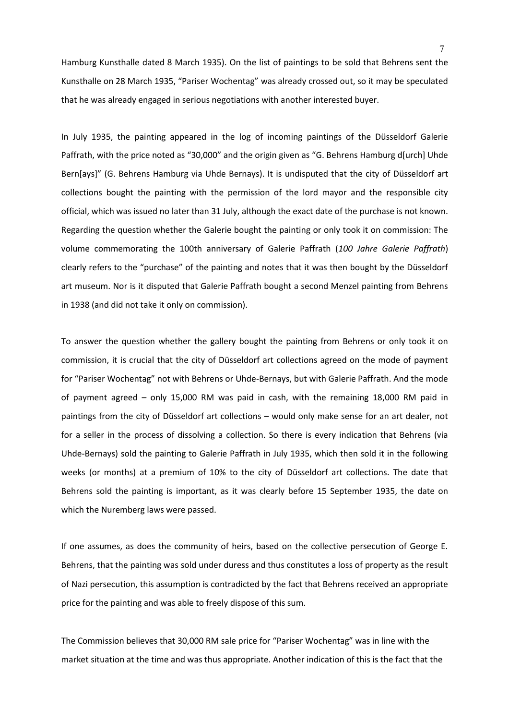Hamburg Kunsthalle dated 8 March 1935). On the list of paintings to be sold that Behrens sent the Kunsthalle on 28 March 1935, "Pariser Wochentag" was already crossed out, so it may be speculated that he was already engaged in serious negotiations with another interested buyer.

In July 1935, the painting appeared in the log of incoming paintings of the Düsseldorf Galerie Paffrath, with the price noted as "30,000" and the origin given as "G. Behrens Hamburg d[urch] Uhde Bern[ays]" (G. Behrens Hamburg via Uhde Bernays). It is undisputed that the city of Düsseldorf art collections bought the painting with the permission of the lord mayor and the responsible city official, which was issued no later than 31 July, although the exact date of the purchase is not known. Regarding the question whether the Galerie bought the painting or only took it on commission: The volume commemorating the 100th anniversary of Galerie Paffrath (*100 Jahre Galerie Paffrath*) clearly refers to the "purchase" of the painting and notes that it was then bought by the Düsseldorf art museum. Nor is it disputed that Galerie Paffrath bought a second Menzel painting from Behrens in 1938 (and did not take it only on commission).

To answer the question whether the gallery bought the painting from Behrens or only took it on commission, it is crucial that the city of Düsseldorf art collections agreed on the mode of payment for "Pariser Wochentag" not with Behrens or Uhde-Bernays, but with Galerie Paffrath. And the mode of payment agreed – only 15,000 RM was paid in cash, with the remaining 18,000 RM paid in paintings from the city of Düsseldorf art collections – would only make sense for an art dealer, not for a seller in the process of dissolving a collection. So there is every indication that Behrens (via Uhde-Bernays) sold the painting to Galerie Paffrath in July 1935, which then sold it in the following weeks (or months) at a premium of 10% to the city of Düsseldorf art collections. The date that Behrens sold the painting is important, as it was clearly before 15 September 1935, the date on which the Nuremberg laws were passed.

If one assumes, as does the community of heirs, based on the collective persecution of George E. Behrens, that the painting was sold under duress and thus constitutes a loss of property as the result of Nazi persecution, this assumption is contradicted by the fact that Behrens received an appropriate price for the painting and was able to freely dispose of this sum.

The Commission believes that 30,000 RM sale price for "Pariser Wochentag" was in line with the market situation at the time and was thus appropriate. Another indication of this is the fact that the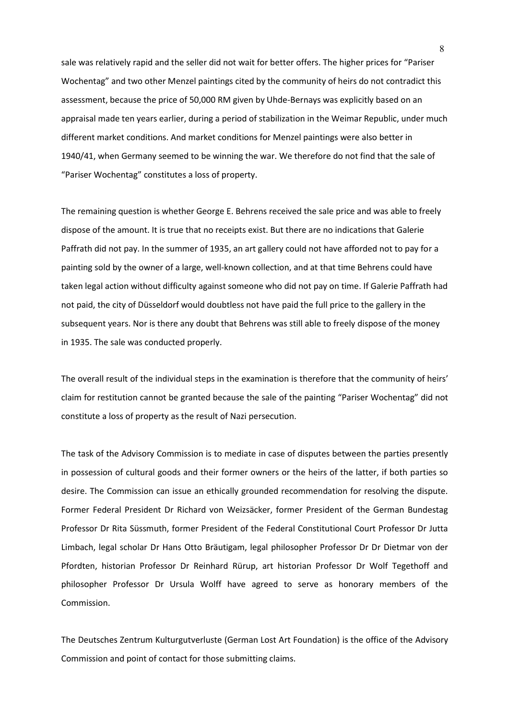sale was relatively rapid and the seller did not wait for better offers. The higher prices for "Pariser Wochentag" and two other Menzel paintings cited by the community of heirs do not contradict this assessment, because the price of 50,000 RM given by Uhde-Bernays was explicitly based on an appraisal made ten years earlier, during a period of stabilization in the Weimar Republic, under much different market conditions. And market conditions for Menzel paintings were also better in 1940/41, when Germany seemed to be winning the war. We therefore do not find that the sale of "Pariser Wochentag" constitutes a loss of property.

The remaining question is whether George E. Behrens received the sale price and was able to freely dispose of the amount. It is true that no receipts exist. But there are no indications that Galerie Paffrath did not pay. In the summer of 1935, an art gallery could not have afforded not to pay for a painting sold by the owner of a large, well-known collection, and at that time Behrens could have taken legal action without difficulty against someone who did not pay on time. If Galerie Paffrath had not paid, the city of Düsseldorf would doubtless not have paid the full price to the gallery in the subsequent years. Nor is there any doubt that Behrens was still able to freely dispose of the money in 1935. The sale was conducted properly.

The overall result of the individual steps in the examination is therefore that the community of heirs' claim for restitution cannot be granted because the sale of the painting "Pariser Wochentag" did not constitute a loss of property as the result of Nazi persecution.

The task of the Advisory Commission is to mediate in case of disputes between the parties presently in possession of cultural goods and their former owners or the heirs of the latter, if both parties so desire. The Commission can issue an ethically grounded recommendation for resolving the dispute. Former Federal President Dr Richard von Weizsäcker, former President of the German Bundestag Professor Dr Rita Süssmuth, former President of the Federal Constitutional Court Professor Dr Jutta Limbach, legal scholar Dr Hans Otto Bräutigam, legal philosopher Professor Dr Dr Dietmar von der Pfordten, historian Professor Dr Reinhard Rürup, art historian Professor Dr Wolf Tegethoff and philosopher Professor Dr Ursula Wolff have agreed to serve as honorary members of the Commission.

The Deutsches Zentrum Kulturgutverluste (German Lost Art Foundation) is the office of the Advisory Commission and point of contact for those submitting claims.